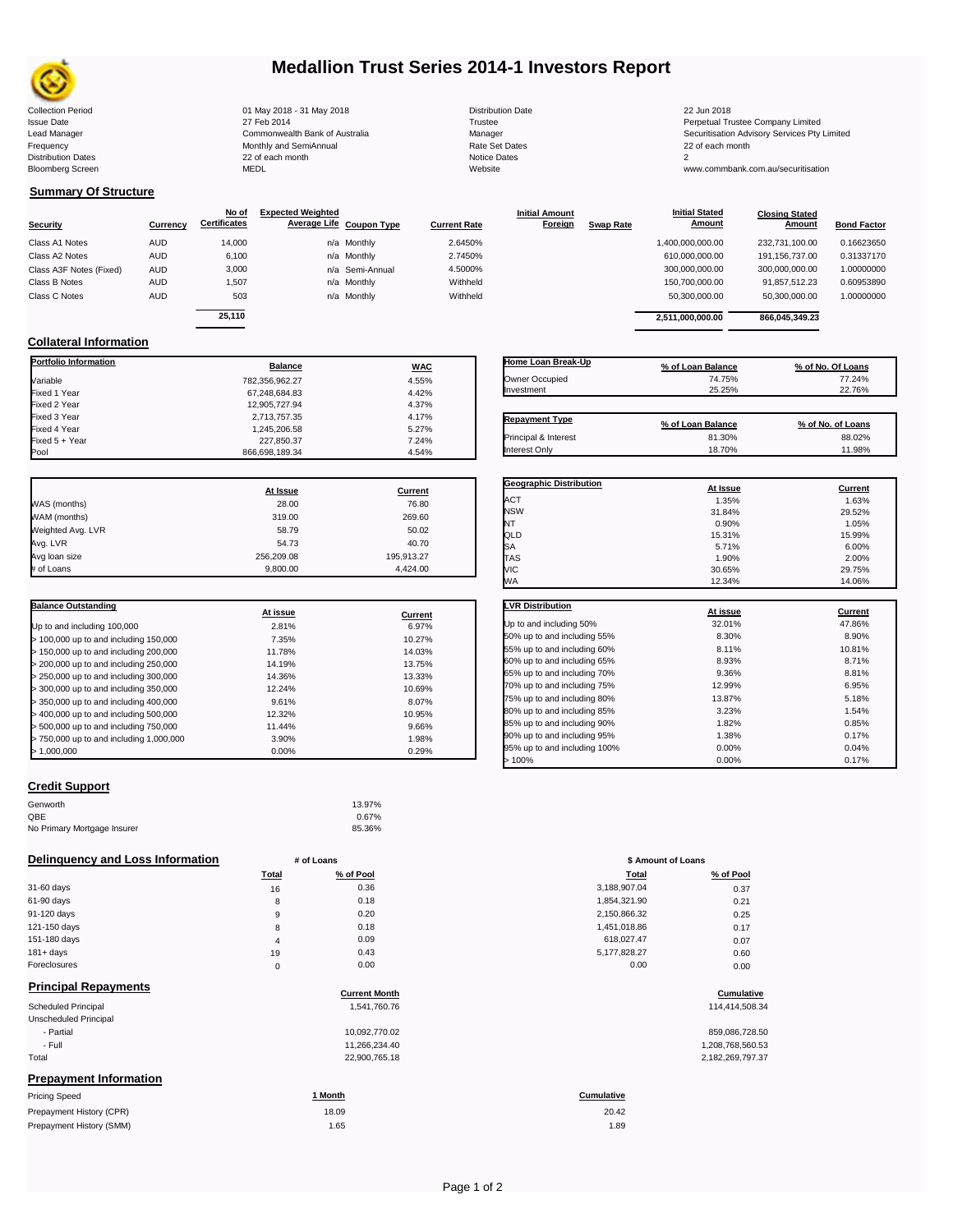

# **Medallion Trust Series 2014-1 Investors Report**

Collection Period 01 May 2018 - 31 May 2018 Distribution Date 22 Jun 2018 Issue Date 2014 27 Feb 2014 27 Feb 2014<br>Isaad Manager 2015 2017 Commonwealth Bank of Australia 2016 Manager 2016 2017 2017 Securitisation Advisory Services Pty Frequency 22 of each month Monthly and SemiAnnual Rate Set Dates 22 of each month 22 of each month 22 of each month<br>Distribution Dates 22 of each month 22 of each month 20 of each month and the Set Dates 20 month 2 Bloomberg Screen MEDL Website www.commbank.com.au/securitisation

| Distribution D |  |
|----------------|--|
| Trustee        |  |
| Manager        |  |
| Rate Set Date  |  |
| Notice Dates   |  |
| Website        |  |

Lead Manager **Commonwealth Bank of Australia** Manager Manager Securitisation Advisory Services Pty Limited

**Closing Stated Amount**

# **Summary Of Structure**

**Collateral Information**

Fixed 3 Yea<mark>r</mark><br>Fixed 4 Year

|                         |            | No of               | <b>Expected Weighted</b> |                 |                     | <b>Initial Amount</b> |                  | <b>Initial Stated</b> | <b>Closing Stated</b> |                    |
|-------------------------|------------|---------------------|--------------------------|-----------------|---------------------|-----------------------|------------------|-----------------------|-----------------------|--------------------|
| <b>Security</b>         | Currency   | <b>Certificates</b> | Average Life Coupon Type |                 | <b>Current Rate</b> | <b>Foreign</b>        | <b>Swap Rate</b> | <b>Amount</b>         | Amount                | <b>Bond Factor</b> |
| Class A1 Notes          | <b>AUD</b> | 14.000              |                          | n/a Monthly     | 2.6450%             |                       |                  | 1,400,000,000.00      | 232.731.100.00        | 0.16623650         |
| Class A2 Notes          | <b>AUD</b> | 6,100               |                          | n/a Monthly     | 2.7450%             |                       |                  | 610,000,000.00        | 191.156.737.00        | 0.31337170         |
| Class A3F Notes (Fixed) | <b>AUD</b> | 3,000               |                          | n/a Semi-Annual | 4.5000%             |                       |                  | 300,000,000.00        | 300.000.000.00        | 1.00000000         |
| Class B Notes           | AUD        | 1.507               |                          | n/a Monthly     | Withheld            |                       |                  | 150,700,000.00        | 91,857,512.23         | 0.60953890         |
| Class C Notes           | <b>AUD</b> | 503                 |                          | n/a Monthly     | Withheld            |                       |                  | 50,300,000.00         | 50,300,000.00         | 1.00000000         |
|                         |            | 25.110              |                          |                 |                     |                       |                  |                       |                       |                    |
|                         |            |                     |                          |                 |                     |                       |                  | 2.511.000.000.00      | 866.045.349.23        |                    |

**Portfolio Information Balance WAC** Variable 782,356,962.27 4.55% Fixed 1 Year 67,248,684.83 4.42% Fixed 2 Year 12,905,727.94 4.37% 4.37% 4.37% 4.37% 4.37% 4.37% 4.37% 4.37% 4.37% 4.37% 4.37% 4.17%

Fixed 5 + Year 24% 7.24% 7.24% 7.24% 7.24% 7.24% 7.24% 7.24% 7.24% 7.24% 7.24% 7.24% 7.24% 7.24% 7.24% 7.24% 7<br>Pool 3.254% 7.254% 7.254% 7.254% 7.254% 7.254% 7.254% 7.254% 7.254% 7.254% 7.254% 7.254% 7.254% 7.254% 7.254%

866,698,189.34

| Home Loan Break-Up    | % of Loan Balance | % of No. Of Loans |
|-----------------------|-------------------|-------------------|
| Owner Occupied        | 74.75%            | 77.24%            |
| Investment            | 25.25%            | 22.76%            |
|                       |                   |                   |
| <b>Repayment Type</b> | % of Loan Balance | % of No. of Loans |
| Principal & Interest  | 81.30%            | 88.02%            |
| <b>Interest Only</b>  | 18.70%            | 11.98%            |

**Geographic Distribution**<br> **ACT ACT ACT ACT ACT ACT ACT ACT ACT ACT ACT ACT ACT ACT ACT ACT ACT ACT ACT ACT ACT ACT ACT ACT ACT ACT ACT** ACT 1.35% 1.63% NSW 31.84% 29.52% NT 0.90% 1.05%

**Initial Stated** 

|                   | At Issue   | <b>Current</b> |
|-------------------|------------|----------------|
| WAS (months)      | 28.00      | 76.80          |
| WAM (months)      | 319.00     | 269.60         |
| Weighted Avg. LVR | 58.79      | 50.02          |
| Avg. LVR          | 54.73      | 40.70          |
| Avg loan size     | 256.209.08 | 195,913.27     |
| # of Loans        | 9.800.00   | 4.424.00       |

1,245,206.58 5.27%<br>227,850.37 7.24%

| <b>Balance Outstanding</b>              | At issue | Current |
|-----------------------------------------|----------|---------|
| Up to and including 100,000             | 2.81%    | 6.97%   |
| $>$ 100,000 up to and including 150,000 | 7.35%    | 10.27%  |
| $>$ 150,000 up to and including 200,000 | 11.78%   | 14.03%  |
| > 200,000 up to and including 250,000   | 14.19%   | 13.75%  |
| > 250,000 up to and including 300,000   | 14.36%   | 13.33%  |
| > 300,000 up to and including 350,000   | 12.24%   | 10.69%  |
| > 350,000 up to and including 400,000   | 9.61%    | 8.07%   |
| $>$ 400,000 up to and including 500,000 | 12.32%   | 10.95%  |
| > 500,000 up to and including 750,000   | 11.44%   | 9.66%   |
| > 750,000 up to and including 1,000,000 | 3.90%    | 1.98%   |
| > 1.000.000                             | 0.00%    | 0.29%   |

| Credit Support |  |  |
|----------------|--|--|
|                |  |  |

| Genworth                    | 13.97% |
|-----------------------------|--------|
| QBE                         | 0.67%  |
| No Primary Mortgage Insurer | 85.36% |

### **Delinquency and Loss Information # of Loans**

| Total | % of Pool | Total        | % of Pool |
|-------|-----------|--------------|-----------|
| 16    | 0.36      | 3,188,907.04 | 0.37      |
| 8     | 0.18      | 1,854,321.90 | 0.21      |
| 9     | 0.20      | 2,150,866.32 | 0.25      |
| 8     | 0.18      | 1,451,018.86 | 0.17      |
| 4     | 0.09      | 618,027.47   | 0.07      |
| 19    | 0.43      | 5,177,828.27 | 0.60      |
| 0     | 0.00      | 0.00         | 0.00      |
|       |           |              |           |

| <b>Principal Repayments</b>   | <b>Current Month</b> | Cumulative        |
|-------------------------------|----------------------|-------------------|
| <b>Scheduled Principal</b>    | 1,541,760.76         | 114,414,508.34    |
| Unscheduled Principal         |                      |                   |
| - Partial                     | 10,092,770.02        | 859,086,728.50    |
| - Full                        | 11,266,234.40        | 1,208,768,560.53  |
| Total                         | 22,900,765.18        | 2,182,269,797.37  |
| <b>Prepayment Information</b> |                      |                   |
| <b>Pricing Speed</b>          | 1 Month              | <b>Cumulative</b> |

| Prepayment History (CPR) | 18.09 | 20.42 |
|--------------------------|-------|-------|
| Prepayment History (SMM) | 1.65  | 1.89  |

| QLD                          | 15.31%   | 15.99%         |
|------------------------------|----------|----------------|
| SA                           | 5.71%    | 6.00%          |
| <b>TAS</b>                   | 1.90%    | 2.00%          |
| VIC                          | 30.65%   | 29.75%         |
| WА                           | 12.34%   | 14.06%         |
| <b>LVR Distribution</b>      | At issue | <b>Current</b> |
| Up to and including 50%      | 32.01%   | 47.86%         |
| 50% up to and including 55%  | 8.30%    | 8.90%          |
| 55% up to and including 60%  | 8.11%    | 10.81%         |
| 60% up to and including 65%  | 8.93%    | 8.71%          |
| 65% up to and including 70%  | 9.36%    | 8.81%          |
| 70% up to and including 75%  | 12.99%   | 6.95%          |
| 75% up to and including 80%  | 13.87%   | 5.18%          |
| 80% up to and including 85%  | 3.23%    | 1.54%          |
| 85% up to and including 90%  | 1.82%    | 0.85%          |
| 90% up to and including 95%  | 1.38%    | 0.17%          |
| 95% up to and including 100% | 0.00%    | 0.04%          |
| >100%                        | 0.00%    | 0.17%          |

|                | # of Loans | \$ Amount of Loans |           |
|----------------|------------|--------------------|-----------|
| Total          | % of Pool  | Total              | % of Pool |
| 16             | 0.36       | 3,188,907.04       | 0.37      |
| 8              | 0.18       | 1,854,321.90       | 0.21      |
| 9              | 0.20       | 2,150,866.32       | 0.25      |
| 8              | 0.18       | 1,451,018.86       | 0.17      |
| $\overline{4}$ | 0.09       | 618,027.47         | 0.07      |
| 19             | 0.43       | 5,177,828.27       | 0.60      |
| $\mathbf 0$    | 0.00       | 0.00               | 0.00      |

# **Current Month Cumulative**

| 859.086.728.50   |
|------------------|
| 1.208.768.560.53 |
| 2,182,269,797.37 |